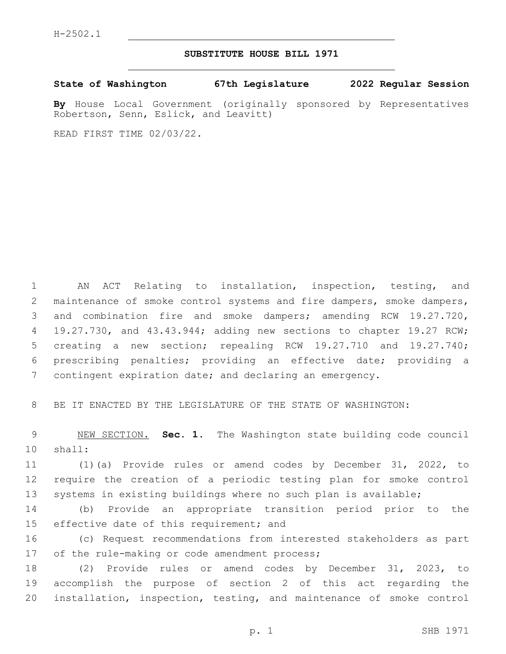## **SUBSTITUTE HOUSE BILL 1971**

**State of Washington 67th Legislature 2022 Regular Session**

**By** House Local Government (originally sponsored by Representatives Robertson, Senn, Eslick, and Leavitt)

READ FIRST TIME 02/03/22.

 AN ACT Relating to installation, inspection, testing, and maintenance of smoke control systems and fire dampers, smoke dampers, and combination fire and smoke dampers; amending RCW 19.27.720, 4 19.27.730, and 43.43.944; adding new sections to chapter 19.27 RCW; creating a new section; repealing RCW 19.27.710 and 19.27.740; prescribing penalties; providing an effective date; providing a contingent expiration date; and declaring an emergency.

BE IT ENACTED BY THE LEGISLATURE OF THE STATE OF WASHINGTON:

 NEW SECTION. **Sec. 1.** The Washington state building code council shall:

 (1)(a) Provide rules or amend codes by December 31, 2022, to require the creation of a periodic testing plan for smoke control systems in existing buildings where no such plan is available;

 (b) Provide an appropriate transition period prior to the 15 effective date of this requirement; and

 (c) Request recommendations from interested stakeholders as part 17 of the rule-making or code amendment process;

 (2) Provide rules or amend codes by December 31, 2023, to accomplish the purpose of section 2 of this act regarding the installation, inspection, testing, and maintenance of smoke control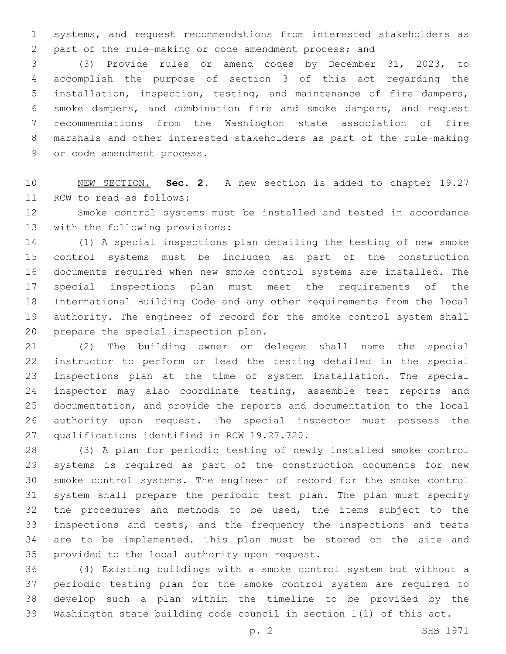systems, and request recommendations from interested stakeholders as part of the rule-making or code amendment process; and

 (3) Provide rules or amend codes by December 31, 2023, to accomplish the purpose of section 3 of this act regarding the installation, inspection, testing, and maintenance of fire dampers, smoke dampers, and combination fire and smoke dampers, and request recommendations from the Washington state association of fire marshals and other interested stakeholders as part of the rule-making 9 or code amendment process.

 NEW SECTION. **Sec. 2.** A new section is added to chapter 19.27 11 RCW to read as follows:

 Smoke control systems must be installed and tested in accordance 13 with the following provisions:

 (1) A special inspections plan detailing the testing of new smoke control systems must be included as part of the construction documents required when new smoke control systems are installed. The special inspections plan must meet the requirements of the International Building Code and any other requirements from the local authority. The engineer of record for the smoke control system shall 20 prepare the special inspection plan.

 (2) The building owner or delegee shall name the special instructor to perform or lead the testing detailed in the special inspections plan at the time of system installation. The special 24 inspector may also coordinate testing, assemble test reports and documentation, and provide the reports and documentation to the local authority upon request. The special inspector must possess the 27 qualifications identified in RCW 19.27.720.

 (3) A plan for periodic testing of newly installed smoke control systems is required as part of the construction documents for new smoke control systems. The engineer of record for the smoke control system shall prepare the periodic test plan. The plan must specify the procedures and methods to be used, the items subject to the inspections and tests, and the frequency the inspections and tests are to be implemented. This plan must be stored on the site and 35 provided to the local authority upon request.

 (4) Existing buildings with a smoke control system but without a periodic testing plan for the smoke control system are required to develop such a plan within the timeline to be provided by the Washington state building code council in section 1(1) of this act.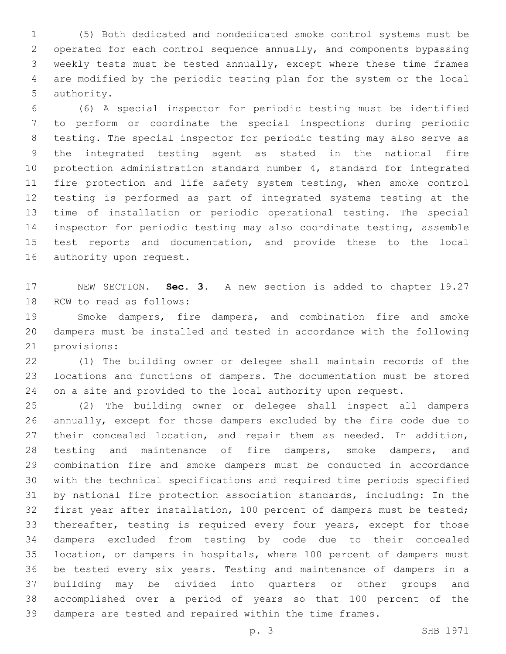(5) Both dedicated and nondedicated smoke control systems must be operated for each control sequence annually, and components bypassing weekly tests must be tested annually, except where these time frames are modified by the periodic testing plan for the system or the local 5 authority.

 (6) A special inspector for periodic testing must be identified to perform or coordinate the special inspections during periodic testing. The special inspector for periodic testing may also serve as the integrated testing agent as stated in the national fire protection administration standard number 4, standard for integrated 11 fire protection and life safety system testing, when smoke control testing is performed as part of integrated systems testing at the time of installation or periodic operational testing. The special inspector for periodic testing may also coordinate testing, assemble 15 test reports and documentation, and provide these to the local 16 authority upon request.

 NEW SECTION. **Sec. 3.** A new section is added to chapter 19.27 18 RCW to read as follows:

 Smoke dampers, fire dampers, and combination fire and smoke dampers must be installed and tested in accordance with the following 21 provisions:

 (1) The building owner or delegee shall maintain records of the locations and functions of dampers. The documentation must be stored 24 on a site and provided to the local authority upon request.

 (2) The building owner or delegee shall inspect all dampers annually, except for those dampers excluded by the fire code due to 27 their concealed location, and repair them as needed. In addition, testing and maintenance of fire dampers, smoke dampers, and combination fire and smoke dampers must be conducted in accordance with the technical specifications and required time periods specified by national fire protection association standards, including: In the first year after installation, 100 percent of dampers must be tested; thereafter, testing is required every four years, except for those dampers excluded from testing by code due to their concealed location, or dampers in hospitals, where 100 percent of dampers must be tested every six years. Testing and maintenance of dampers in a building may be divided into quarters or other groups and accomplished over a period of years so that 100 percent of the dampers are tested and repaired within the time frames.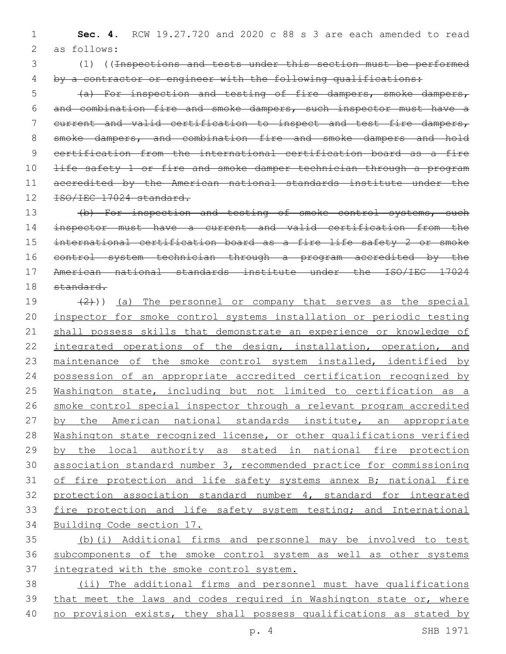1 **Sec. 4.** RCW 19.27.720 and 2020 c 88 s 3 are each amended to read 2 as follows:

3 (1) ((Inspections and tests under this section must be performed 4 by a contractor or engineer with the following qualifications:

 (a) For inspection and testing of fire dampers, smoke dampers, and combination fire and smoke dampers, such inspector must have a 7 current and valid certification to inspect and test fire dampers, smoke dampers, and combination fire and smoke dampers and hold certification from the international certification board as a fire 10 <del>life safety 1 or fire and smoke damper technician through a program</del> accredited by the American national standards institute under the 12 ISO/IEC 17024 standard.

13 (b) For inspection and testing of smoke control systems, such inspector must have a current and valid certification from the international certification board as a fire life safety 2 or smoke control system technician through a program accredited by the American national standards institute under the ISO/IEC 17024 18 standard.

 $(2)$ ) (a) The personnel or company that serves as the special inspector for smoke control systems installation or periodic testing shall possess skills that demonstrate an experience or knowledge of 22 integrated operations of the design, installation, operation, and 23 maintenance of the smoke control system installed, identified by possession of an appropriate accredited certification recognized by Washington state, including but not limited to certification as a smoke control special inspector through a relevant program accredited 27 by the American national standards institute, an appropriate 28 Washington state recognized license, or other qualifications verified by the local authority as stated in national fire protection association standard number 3, recommended practice for commissioning 31 of fire protection and life safety systems annex B; national fire protection association standard number 4, standard for integrated 33 fire protection and life safety system testing; and International Building Code section 17.

35 (b)(i) Additional firms and personnel may be involved to test 36 subcomponents of the smoke control system as well as other systems 37 integrated with the smoke control system.

38 (ii) The additional firms and personnel must have qualifications 39 that meet the laws and codes required in Washington state or, where 40 no provision exists, they shall possess qualifications as stated by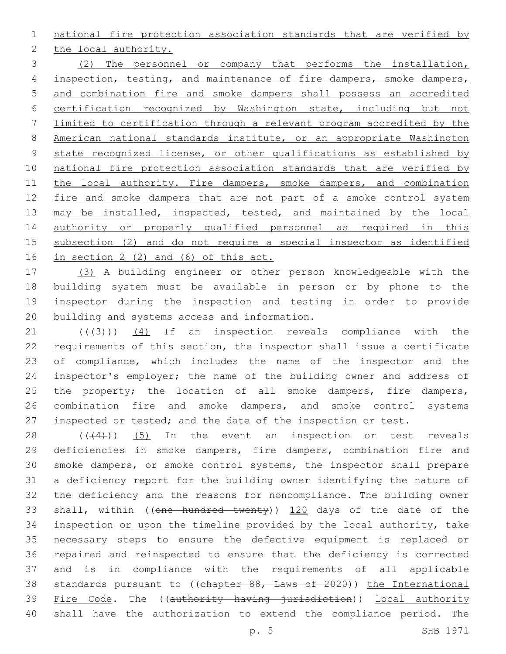national fire protection association standards that are verified by

2 the local authority.

 (2) The personnel or company that performs the installation, 4 inspection, testing, and maintenance of fire dampers, smoke dampers, and combination fire and smoke dampers shall possess an accredited certification recognized by Washington state, including but not limited to certification through a relevant program accredited by the American national standards institute, or an appropriate Washington 9 state recognized license, or other qualifications as established by 10 national fire protection association standards that are verified by 11 the local authority. Fire dampers, smoke dampers, and combination 12 fire and smoke dampers that are not part of a smoke control system 13 may be installed, inspected, tested, and maintained by the local authority or properly qualified personnel as required in this subsection (2) and do not require a special inspector as identified in section 2 (2) and (6) of this act.

 (3) A building engineer or other person knowledgeable with the building system must be available in person or by phone to the inspector during the inspection and testing in order to provide 20 building and systems access and information.

 $(1)$   $(1)$   $(4)$  If an inspection reveals compliance with the requirements of this section, the inspector shall issue a certificate of compliance, which includes the name of the inspector and the inspector's employer; the name of the building owner and address of 25 the property; the location of all smoke dampers, fire dampers, combination fire and smoke dampers, and smoke control systems inspected or tested; and the date of the inspection or test.

 ( $(44)$ ))  $(5)$  In the event an inspection or test reveals deficiencies in smoke dampers, fire dampers, combination fire and smoke dampers, or smoke control systems, the inspector shall prepare a deficiency report for the building owner identifying the nature of the deficiency and the reasons for noncompliance. The building owner 33 shall, within ((one hundred twenty)) 120 days of the date of the 34 inspection or upon the timeline provided by the local authority, take necessary steps to ensure the defective equipment is replaced or repaired and reinspected to ensure that the deficiency is corrected and is in compliance with the requirements of all applicable 38 standards pursuant to ((chapter 88, Laws of 2020)) the International 39 Fire Code. The ((authority having jurisdiction)) local authority shall have the authorization to extend the compliance period. The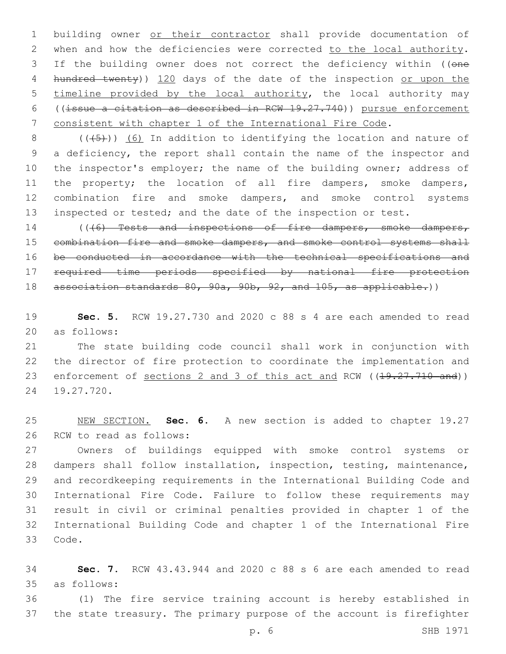building owner or their contractor shall provide documentation of 2 when and how the deficiencies were corrected to the local authority. 3 If the building owner does not correct the deficiency within ((one 4 hundred twenty)) 120 days of the date of the inspection or upon the timeline provided by the local authority, the local authority may ((issue a citation as described in RCW 19.27.740)) pursue enforcement consistent with chapter 1 of the International Fire Code.

 $((+5))$  (6) In addition to identifying the location and nature of a deficiency, the report shall contain the name of the inspector and 10 the inspector's employer; the name of the building owner; address of the property; the location of all fire dampers, smoke dampers, combination fire and smoke dampers, and smoke control systems inspected or tested; and the date of the inspection or test.

14 (((6) Tests and inspections of fire dampers, smoke dampers, 15 combination fire and smoke dampers, and smoke control systems shall be conducted in accordance with the technical specifications and required time periods specified by national fire protection association standards 80, 90a, 90b, 92, and 105, as applicable.))

 **Sec. 5.** RCW 19.27.730 and 2020 c 88 s 4 are each amended to read 20 as follows:

 The state building code council shall work in conjunction with the director of fire protection to coordinate the implementation and 23 enforcement of sections 2 and 3 of this act and RCW ((19.27.710 and)) 24 19.27.720.

 NEW SECTION. **Sec. 6.** A new section is added to chapter 19.27 26 RCW to read as follows:

 Owners of buildings equipped with smoke control systems or dampers shall follow installation, inspection, testing, maintenance, and recordkeeping requirements in the International Building Code and International Fire Code. Failure to follow these requirements may result in civil or criminal penalties provided in chapter 1 of the International Building Code and chapter 1 of the International Fire 33 Code.

 **Sec. 7.** RCW 43.43.944 and 2020 c 88 s 6 are each amended to read as follows:35

 (1) The fire service training account is hereby established in the state treasury. The primary purpose of the account is firefighter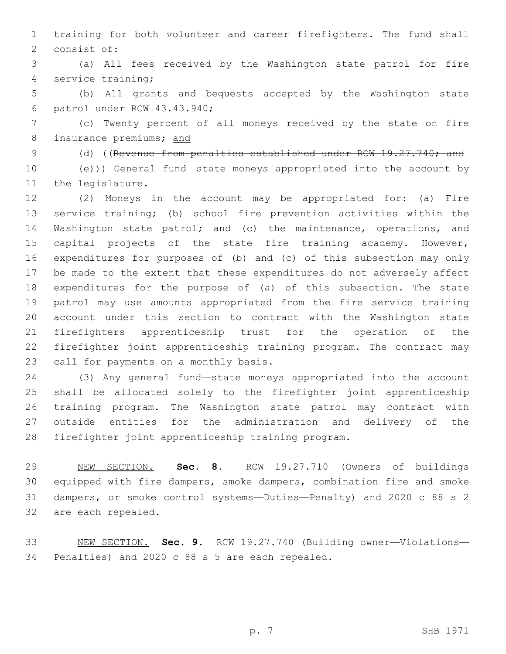training for both volunteer and career firefighters. The fund shall 2 consist of:

 (a) All fees received by the Washington state patrol for fire 4 service training;

 (b) All grants and bequests accepted by the Washington state 6 patrol under RCW 43.43.940;

 (c) Twenty percent of all moneys received by the state on fire insurance premiums; and

9 (d) ((Revenue from penalties established under RCW 19.27.740; and  $(e)$ )) General fund—state moneys appropriated into the account by

11 the legislature.

 (2) Moneys in the account may be appropriated for: (a) Fire service training; (b) school fire prevention activities within the Washington state patrol; and (c) the maintenance, operations, and capital projects of the state fire training academy. However, expenditures for purposes of (b) and (c) of this subsection may only be made to the extent that these expenditures do not adversely affect expenditures for the purpose of (a) of this subsection. The state patrol may use amounts appropriated from the fire service training account under this section to contract with the Washington state firefighters apprenticeship trust for the operation of the firefighter joint apprenticeship training program. The contract may 23 call for payments on a monthly basis.

 (3) Any general fund—state moneys appropriated into the account shall be allocated solely to the firefighter joint apprenticeship training program. The Washington state patrol may contract with outside entities for the administration and delivery of the firefighter joint apprenticeship training program.

 NEW SECTION. **Sec. 8.** RCW 19.27.710 (Owners of buildings equipped with fire dampers, smoke dampers, combination fire and smoke dampers, or smoke control systems—Duties—Penalty) and 2020 c 88 s 2 are each repealed.

 NEW SECTION. **Sec. 9.** RCW 19.27.740 (Building owner—Violations— Penalties) and 2020 c 88 s 5 are each repealed.